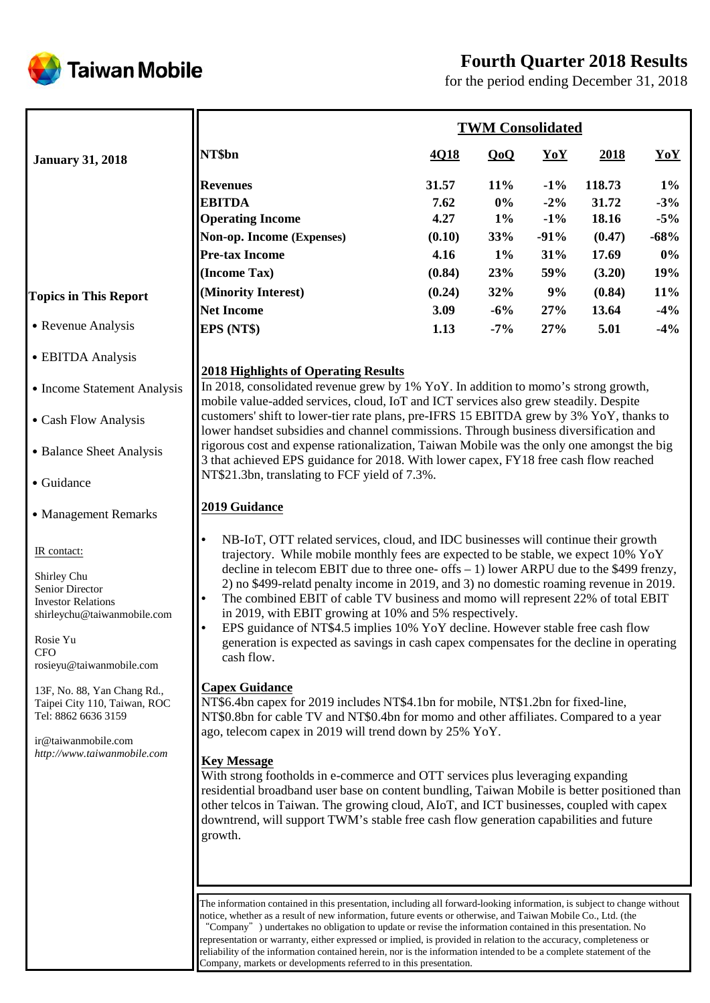

# **Fourth Quarter 2018 Results**

for the period ending December 31, 2018

|                                                                                                                                                                                                                                                                                                                                     |                                                                                                                                                                                                                                                                                                                                                                                                                                                                                                                                                                                                                                                                                                                                                                                                                                                                                                                                                                                                                                                                                                                                                                                                                                                                                                                                                                                                                                             |                                                                             | <b>TWM Consolidated</b>                                                   |                                                                        |                                                                                  |                                                                            |  |
|-------------------------------------------------------------------------------------------------------------------------------------------------------------------------------------------------------------------------------------------------------------------------------------------------------------------------------------|---------------------------------------------------------------------------------------------------------------------------------------------------------------------------------------------------------------------------------------------------------------------------------------------------------------------------------------------------------------------------------------------------------------------------------------------------------------------------------------------------------------------------------------------------------------------------------------------------------------------------------------------------------------------------------------------------------------------------------------------------------------------------------------------------------------------------------------------------------------------------------------------------------------------------------------------------------------------------------------------------------------------------------------------------------------------------------------------------------------------------------------------------------------------------------------------------------------------------------------------------------------------------------------------------------------------------------------------------------------------------------------------------------------------------------------------|-----------------------------------------------------------------------------|---------------------------------------------------------------------------|------------------------------------------------------------------------|----------------------------------------------------------------------------------|----------------------------------------------------------------------------|--|
| <b>January 31, 2018</b>                                                                                                                                                                                                                                                                                                             | NT\$bn                                                                                                                                                                                                                                                                                                                                                                                                                                                                                                                                                                                                                                                                                                                                                                                                                                                                                                                                                                                                                                                                                                                                                                                                                                                                                                                                                                                                                                      | 4Q18                                                                        | QoQ                                                                       | YoY                                                                    | 2018                                                                             | YoY                                                                        |  |
| <b>Topics in This Report</b><br>• Revenue Analysis<br>• EBITDA Analysis                                                                                                                                                                                                                                                             | <b>Revenues</b><br><b>EBITDA</b><br><b>Operating Income</b><br>Non-op. Income (Expenses)<br><b>Pre-tax Income</b><br>(Income Tax)<br>(Minority Interest)<br><b>Net Income</b><br>EPS (NT\$)<br><b>2018 Highlights of Operating Results</b>                                                                                                                                                                                                                                                                                                                                                                                                                                                                                                                                                                                                                                                                                                                                                                                                                                                                                                                                                                                                                                                                                                                                                                                                  | 31.57<br>7.62<br>4.27<br>(0.10)<br>4.16<br>(0.84)<br>(0.24)<br>3.09<br>1.13 | $11\%$<br>$0\%$<br>$1\%$<br>33%<br>$1\%$<br>23%<br>32%<br>$-6%$<br>$-7\%$ | $-1\%$<br>$-2\%$<br>$-1\%$<br>$-91%$<br>31%<br>59%<br>9%<br>27%<br>27% | 118.73<br>31.72<br>18.16<br>(0.47)<br>17.69<br>(3.20)<br>(0.84)<br>13.64<br>5.01 | $1\%$<br>$-3%$<br>$-5%$<br>$-68%$<br>$0\%$<br>19%<br>11%<br>$-4%$<br>$-4%$ |  |
| • Income Statement Analysis<br>• Cash Flow Analysis                                                                                                                                                                                                                                                                                 | In 2018, consolidated revenue grew by 1% YoY. In addition to momo's strong growth,<br>mobile value-added services, cloud, IoT and ICT services also grew steadily. Despite<br>customers' shift to lower-tier rate plans, pre-IFRS 15 EBITDA grew by 3% YoY, thanks to                                                                                                                                                                                                                                                                                                                                                                                                                                                                                                                                                                                                                                                                                                                                                                                                                                                                                                                                                                                                                                                                                                                                                                       |                                                                             |                                                                           |                                                                        |                                                                                  |                                                                            |  |
| • Balance Sheet Analysis<br>• Guidance                                                                                                                                                                                                                                                                                              | lower handset subsidies and channel commissions. Through business diversification and<br>rigorous cost and expense rationalization, Taiwan Mobile was the only one amongst the big<br>3 that achieved EPS guidance for 2018. With lower capex, FY18 free cash flow reached<br>NT\$21.3bn, translating to FCF yield of 7.3%.                                                                                                                                                                                                                                                                                                                                                                                                                                                                                                                                                                                                                                                                                                                                                                                                                                                                                                                                                                                                                                                                                                                 |                                                                             |                                                                           |                                                                        |                                                                                  |                                                                            |  |
| • Management Remarks<br>IR contact:<br>Shirley Chu<br>Senior Director<br><b>Investor Relations</b><br>shirleychu@taiwanmobile.com<br>Rosie Yu<br><b>CFO</b><br>rosieyu@taiwanmobile.com<br>13F, No. 88, Yan Chang Rd.,<br>Taipei City 110, Taiwan, ROC<br>Tel: 8862 6636 3159<br>ir@taiwanmobile.com<br>http://www.taiwanmobile.com | 2019 Guidance<br>$\bullet$<br>NB-IoT, OTT related services, cloud, and IDC businesses will continue their growth<br>trajectory. While mobile monthly fees are expected to be stable, we expect 10% YoY<br>decline in telecom EBIT due to three one- offs $-1$ ) lower ARPU due to the \$499 frenzy,<br>2) no \$499-relatd penalty income in 2019, and 3) no domestic roaming revenue in 2019.<br>The combined EBIT of cable TV business and momo will represent 22% of total EBIT<br>$\bullet$<br>in 2019, with EBIT growing at 10% and 5% respectively.<br>$\bullet$<br>EPS guidance of NT\$4.5 implies 10% YoY decline. However stable free cash flow<br>generation is expected as savings in cash capex compensates for the decline in operating<br>cash flow.<br><b>Capex Guidance</b><br>NT\$6.4bn capex for 2019 includes NT\$4.1bn for mobile, NT\$1.2bn for fixed-line,<br>NT\$0.8bn for cable TV and NT\$0.4bn for momo and other affiliates. Compared to a year<br>ago, telecom capex in 2019 will trend down by 25% YoY.<br><b>Key Message</b><br>With strong footholds in e-commerce and OTT services plus leveraging expanding<br>residential broadband user base on content bundling, Taiwan Mobile is better positioned than<br>other telcos in Taiwan. The growing cloud, AIoT, and ICT businesses, coupled with capex<br>downtrend, will support TWM's stable free cash flow generation capabilities and future<br>growth. |                                                                             |                                                                           |                                                                        |                                                                                  |                                                                            |  |
|                                                                                                                                                                                                                                                                                                                                     | The information contained in this presentation, including all forward-looking information, is subject to change without<br>notice, whether as a result of new information, future events or otherwise, and Taiwan Mobile Co., Ltd. (the<br>"Company") undertakes no obligation to update or revise the information contained in this presentation. No<br>representation or warranty, either expressed or implied, is provided in relation to the accuracy, completeness or<br>reliability of the information contained herein, nor is the information intended to be a complete statement of the                                                                                                                                                                                                                                                                                                                                                                                                                                                                                                                                                                                                                                                                                                                                                                                                                                            |                                                                             |                                                                           |                                                                        |                                                                                  |                                                                            |  |

Company, markets or developments referred to in this presentation.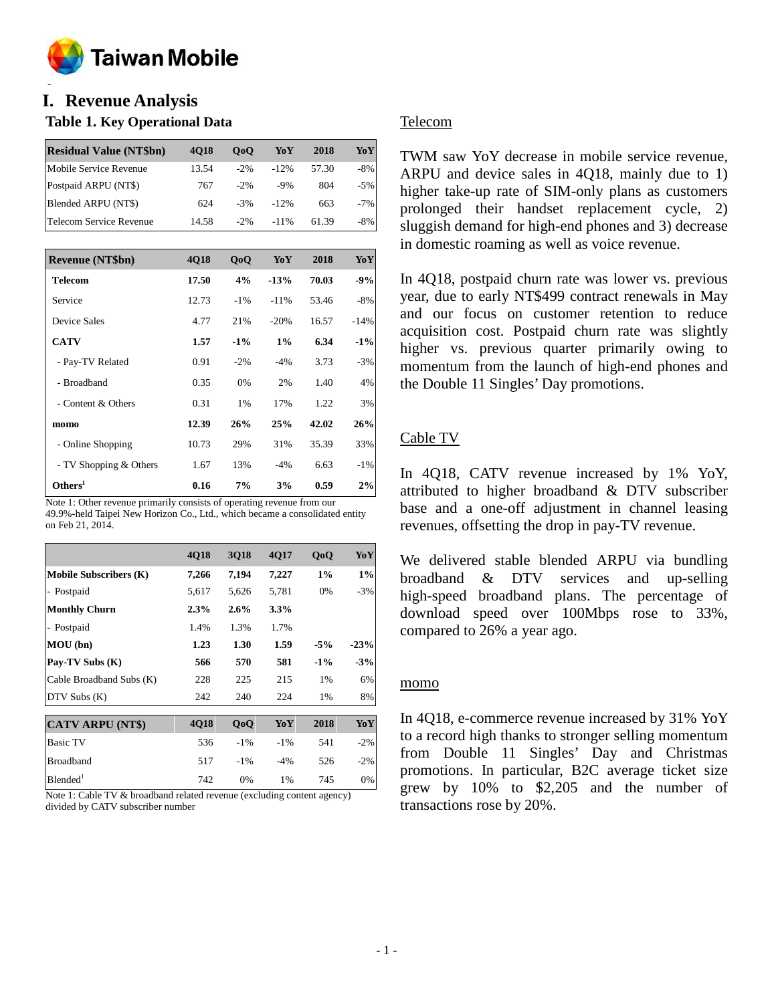

#### **o I. Revenue Analysis**

### **Table 1. Key Operational Data**

| <b>Residual Value (NT\$bn)</b> | <b>4018</b> | 0 <sub>0</sub> | YoY     | 2018  | YoY    |
|--------------------------------|-------------|----------------|---------|-------|--------|
| Mobile Service Revenue         | 13.54       | $-2\%$         | $-12%$  | 57.30 | $-8%$  |
| Postpaid ARPU (NT\$)           | 767         | $-2\%$         | $-9%$   | 804   | $-5\%$ |
| Blended ARPU (NT\$)            | 624         | $-3%$          | $-12%$  | 663   | $-7\%$ |
| Telecom Service Revenue        | 14.58       | $-2\%$         | $-11\%$ | 61.39 | -8%    |

| Revenue (NT\$bn)       | <b>4018</b> | QoQ    | YoY    | 2018  | YoY    |
|------------------------|-------------|--------|--------|-------|--------|
| <b>Telecom</b>         | 17.50       | 4%     | $-13%$ | 70.03 | $-9%$  |
| Service                | 12.73       | $-1\%$ | $-11%$ | 53.46 | $-8%$  |
| <b>Device Sales</b>    | 4.77        | 21%    | $-20%$ | 16.57 | $-14%$ |
| <b>CATV</b>            | 1.57        | $-1\%$ | 1%     | 6.34  | $-1\%$ |
| - Pay-TV Related       | 0.91        | $-2\%$ | $-4%$  | 3.73  | $-3%$  |
| - Broadband            | 0.35        | 0%     | 2%     | 1.40  | 4%     |
| - Content & Others     | 0.31        | 1%     | 17%    | 1.22  | 3%     |
| momo                   | 12.39       | 26%    | 25%    | 42.02 | 26%    |
| - Online Shopping      | 10.73       | 29%    | 31%    | 35.39 | 33%    |
| - TV Shopping & Others | 1.67        | 13%    | $-4%$  | 6.63  | $-1\%$ |
| Others <sup>1</sup>    | 0.16        | 7%     | 3%     | 0.59  | 2%     |

Note 1: Other revenue primarily consists of operating revenue from our 49.9%-held Taipei New Horizon Co., Ltd., which became a consolidated entity on Feb 21, 2014.

|                               | 4Q18  | 3Q18    | 4Q17   | QoQ    | YoY    |
|-------------------------------|-------|---------|--------|--------|--------|
| <b>Mobile Subscribers (K)</b> | 7,266 | 7,194   | 7,227  | $1\%$  | $1\%$  |
| - Postpaid                    | 5,617 | 5,626   | 5,781  | 0%     | $-3%$  |
| <b>Monthly Churn</b>          | 2.3%  | $2.6\%$ | 3.3%   |        |        |
| - Postpaid                    | 1.4%  | 1.3%    | 1.7%   |        |        |
| MOU (bn)                      | 1.23  | 1.30    | 1.59   | $-5%$  | $-23%$ |
| Pay-TV Subs (K)               | 566   | 570     | 581    | $-1\%$ | $-3%$  |
| Cable Broadband Subs (K)      | 228   | 225     | 215    | 1%     | 6%     |
| $DTV$ Subs $(K)$              | 242   | 240     | 224    | 1%     | 8%     |
|                               |       |         |        |        |        |
| <b>CATV ARPU (NT\$)</b>       | 4Q18  | QoQ     | YoY    | 2018   | YoY    |
| <b>Basic TV</b>               | 536   | $-1\%$  | $-1\%$ | 541    | $-2\%$ |
| <b>Broadband</b>              | 517   | $-1\%$  | $-4%$  | 526    | $-2%$  |

Note 1: Cable TV & broadband related revenue (excluding content agency) divided by CATV subscriber number

 $B$ lended<sup>1</sup> 742 0% 1% 745 0%

### Telecom

TWM saw YoY decrease in mobile service revenue, ARPU and device sales in 4Q18, mainly due to 1) higher take-up rate of SIM-only plans as customers prolonged their handset replacement cycle, 2) sluggish demand for high-end phones and 3) decrease in domestic roaming as well as voice revenue.

In 4Q18, postpaid churn rate was lower vs. previous year, due to early NT\$499 contract renewals in May and our focus on customer retention to reduce acquisition cost. Postpaid churn rate was slightly higher vs. previous quarter primarily owing to momentum from the launch of high-end phones and the Double 11 Singles' Day promotions.

### Cable TV

In 4Q18, CATV revenue increased by 1% YoY, attributed to higher broadband & DTV subscriber base and a one-off adjustment in channel leasing revenues, offsetting the drop in pay-TV revenue.

We delivered stable blended ARPU via bundling broadband & DTV services and up-selling high-speed broadband plans. The percentage of download speed over 100Mbps rose to 33%, compared to 26% a year ago.

#### momo

In 4Q18, e-commerce revenue increased by 31% YoY to a record high thanks to stronger selling momentum from Double 11 Singles' Day and Christmas promotions. In particular, B2C average ticket size grew by 10% to \$2,205 and the number of transactions rose by 20%.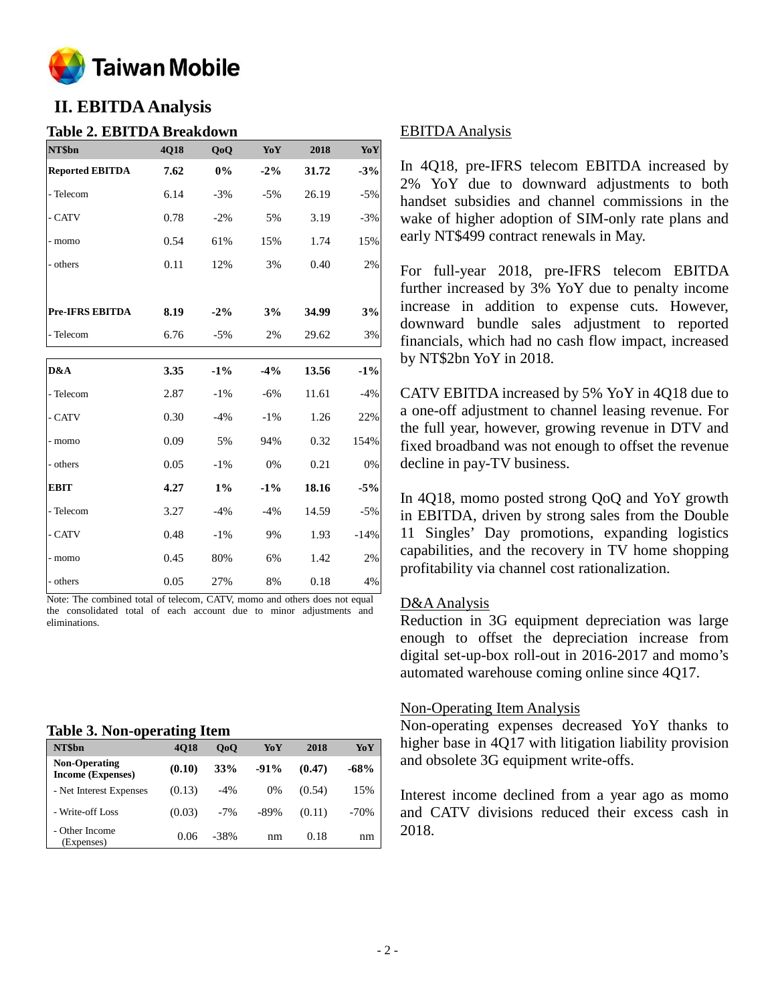

# **II. EBITDA Analysis**

#### **Table 2. EBITDA Breakdown**

| NT\$bn                 | 4Q18 | QoQ    | YoY    | 2018  | Yo Y   |
|------------------------|------|--------|--------|-------|--------|
| <b>Reported EBITDA</b> | 7.62 | 0%     | $-2\%$ | 31.72 | $-3%$  |
| - Telecom              | 6.14 | $-3%$  | $-5%$  | 26.19 | $-5%$  |
| - CATV                 | 0.78 | $-2%$  | 5%     | 3.19  | $-3%$  |
| - momo                 | 0.54 | 61%    | 15%    | 1.74  | 15%    |
| - others               | 0.11 | 12%    | 3%     | 0.40  | 2%     |
|                        |      |        |        |       |        |
| <b>Pre-IFRS EBITDA</b> | 8.19 | $-2\%$ | 3%     | 34.99 | 3%     |
| - Telecom              | 6.76 | $-5%$  | 2%     | 29.62 | 3%     |
|                        |      |        |        |       |        |
| D&A                    | 3.35 | $-1\%$ | $-4%$  | 13.56 | $-1\%$ |
| - Telecom              | 2.87 | $-1\%$ | $-6%$  | 11.61 | $-4%$  |
| - CATV                 | 0.30 | $-4%$  | $-1\%$ | 1.26  | 22%    |
| - momo                 | 0.09 | 5%     | 94%    | 0.32  | 154%   |
| - others               | 0.05 | $-1\%$ | 0%     | 0.21  | 0%     |
| <b>EBIT</b>            | 4.27 | $1\%$  | $-1\%$ | 18.16 | $-5%$  |
| - Telecom              | 3.27 | $-4%$  | $-4%$  | 14.59 | $-5%$  |
| - CATV                 | 0.48 | $-1\%$ | 9%     | 1.93  | $-14%$ |
| - momo                 | 0.45 | 80%    | 6%     | 1.42  | 2%     |
| - others               | 0.05 | 27%    | 8%     | 0.18  | 4%     |

Note: The combined total of telecom, CATV, momo and others does not equal the consolidated total of each account due to minor adjustments and eliminations.

### **Table 3. Non-operating Item**

| NT\$bn                                           | <b>4018</b> | 0 <sub>0</sub> | YoY    | 2018   | YoY    |
|--------------------------------------------------|-------------|----------------|--------|--------|--------|
| <b>Non-Operating</b><br><b>Income (Expenses)</b> | (0.10)      | <b>33%</b>     | $-91%$ | (0.47) | $-68%$ |
| - Net Interest Expenses                          | (0.13)      | $-4%$          | $0\%$  | (0.54) | 15%    |
| - Write-off Loss                                 | (0.03)      | $-7\%$         | $-89%$ | (0.11) | $-70%$ |
| - Other Income<br>(Expenses)                     | 0.06        | -38%           | nm     | 0.18   | nm     |

#### EBITDA Analysis

In 4Q18, pre-IFRS telecom EBITDA increased by 2% YoY due to downward adjustments to both handset subsidies and channel commissions in the wake of higher adoption of SIM-only rate plans and early NT\$499 contract renewals in May.

For full-year 2018, pre-IFRS telecom EBITDA further increased by 3% YoY due to penalty income increase in addition to expense cuts. However, downward bundle sales adjustment to reported financials, which had no cash flow impact, increased by NT\$2bn YoY in 2018.

CATV EBITDA increased by 5% YoY in 4Q18 due to a one-off adjustment to channel leasing revenue. For the full year, however, growing revenue in DTV and fixed broadband was not enough to offset the revenue decline in pay-TV business.

In 4Q18, momo posted strong QoQ and YoY growth in EBITDA, driven by strong sales from the Double 11 Singles' Day promotions, expanding logistics capabilities, and the recovery in TV home shopping profitability via channel cost rationalization.

#### D&AAnalysis

Reduction in 3G equipment depreciation was large enough to offset the depreciation increase from digital set-up-box roll-out in 2016-2017 and momo's automated warehouse coming online since 4Q17.

#### Non-Operating Item Analysis

Non-operating expenses decreased YoY thanks to higher base in 4Q17 with litigation liability provision and obsolete 3G equipment write-offs.

Interest income declined from a year ago as momo and CATV divisions reduced their excess cash in 2018.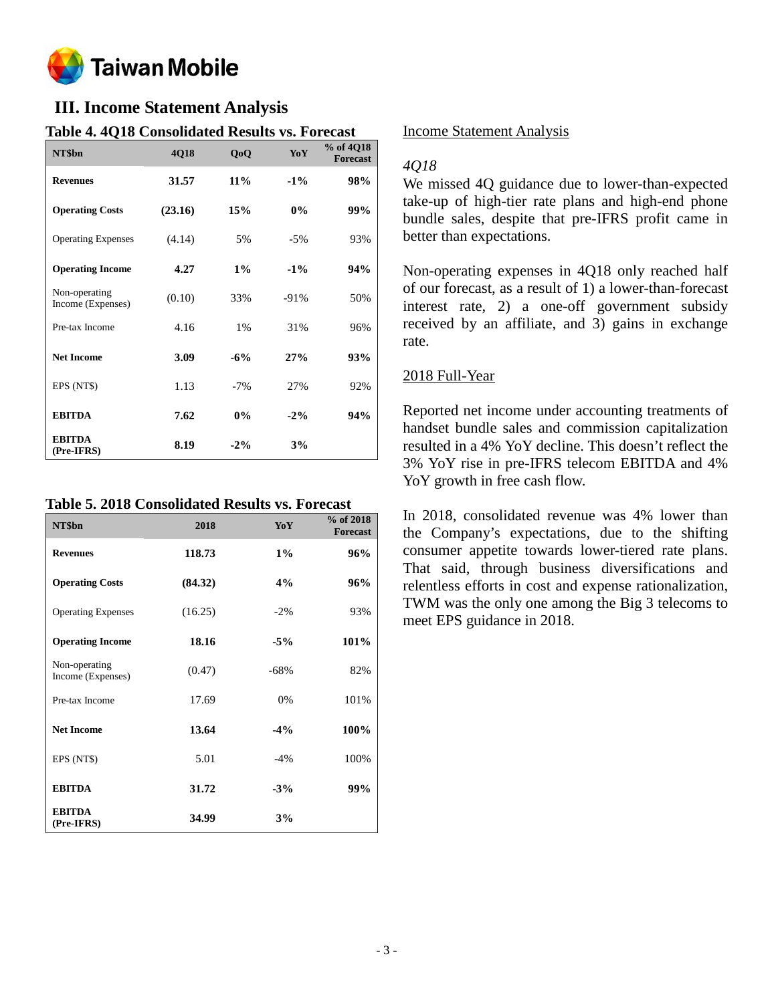

# **III. Income Statement Analysis**

### **Table 4. 4Q18 Consolidated Results vs. Forecast**

| NT\$bn                             | 4Q18    | QoQ    | YoY    | % of 4Q18<br><b>Forecast</b> |
|------------------------------------|---------|--------|--------|------------------------------|
| <b>Revenues</b>                    | 31.57   | $11\%$ | $-1\%$ | 98%                          |
| <b>Operating Costs</b>             | (23.16) | 15%    | $0\%$  | 99%                          |
| <b>Operating Expenses</b>          | (4.14)  | 5%     | $-5%$  | 93%                          |
| <b>Operating Income</b>            | 4.27    | $1\%$  | $-1\%$ | 94%                          |
| Non-operating<br>Income (Expenses) | (0.10)  | 33%    | $-91%$ | 50%                          |
| Pre-tax Income                     | 4.16    | 1%     | 31%    | 96%                          |
| <b>Net Income</b>                  | 3.09    | $-6%$  | 27%    | 93%                          |
| EPS (NT\$)                         | 1.13    | $-7%$  | 27%    | 92%                          |
| <b>EBITDA</b>                      | 7.62    | $0\%$  | $-2\%$ | 94%                          |
| <b>EBITDA</b><br>(Pre-IFRS)        | 8.19    | $-2\%$ | 3%     |                              |

**Table 5. 2018 Consolidated Results vs. Forecast**

| NT\$bn                             | 2018    | YoY    | % of 2018<br><b>Forecast</b> |
|------------------------------------|---------|--------|------------------------------|
| <b>Revenues</b>                    | 118.73  | $1\%$  | 96%                          |
| <b>Operating Costs</b>             | (84.32) | 4%     | 96%                          |
| <b>Operating Expenses</b>          | (16.25) | $-2\%$ | 93%                          |
| <b>Operating Income</b>            | 18.16   | $-5%$  | 101%                         |
| Non-operating<br>Income (Expenses) | (0.47)  | $-68%$ | 82%                          |
| Pre-tax Income                     | 17.69   | 0%     | 101%                         |
| <b>Net Income</b>                  | 13.64   | $-4\%$ | 100%                         |
| EPS (NT\$)                         | 5.01    | $-4%$  | 100%                         |
| <b>EBITDA</b>                      | 31.72   | $-3%$  | 99%                          |
| <b>EBITDA</b><br>(Pre-IFRS)        | 34.99   | 3%     |                              |

#### Income Statement Analysis

#### *4Q18*

We missed 4Q guidance due to lower-than-expected take-up of high-tier rate plans and high-end phone bundle sales, despite that pre-IFRS profit came in better than expectations.

Non-operating expenses in 4Q18 only reached half of our forecast, as a result of 1) a lower-than-forecast interest rate, 2) a one-off government subsidy received by an affiliate, and 3) gains in exchange rate.

#### 2018 Full-Year

Reported net income under accounting treatments of handset bundle sales and commission capitalization resulted in a 4% YoY decline. This doesn't reflect the 3% YoY rise in pre-IFRS telecom EBITDA and 4% YoY growth in free cash flow.

In 2018, consolidated revenue was 4% lower than the Company's expectations, due to the shifting consumer appetite towards lower-tiered rate plans. That said, through business diversifications and relentless efforts in cost and expense rationalization, TWM was the only one among the Big 3 telecoms to meet EPS guidance in 2018.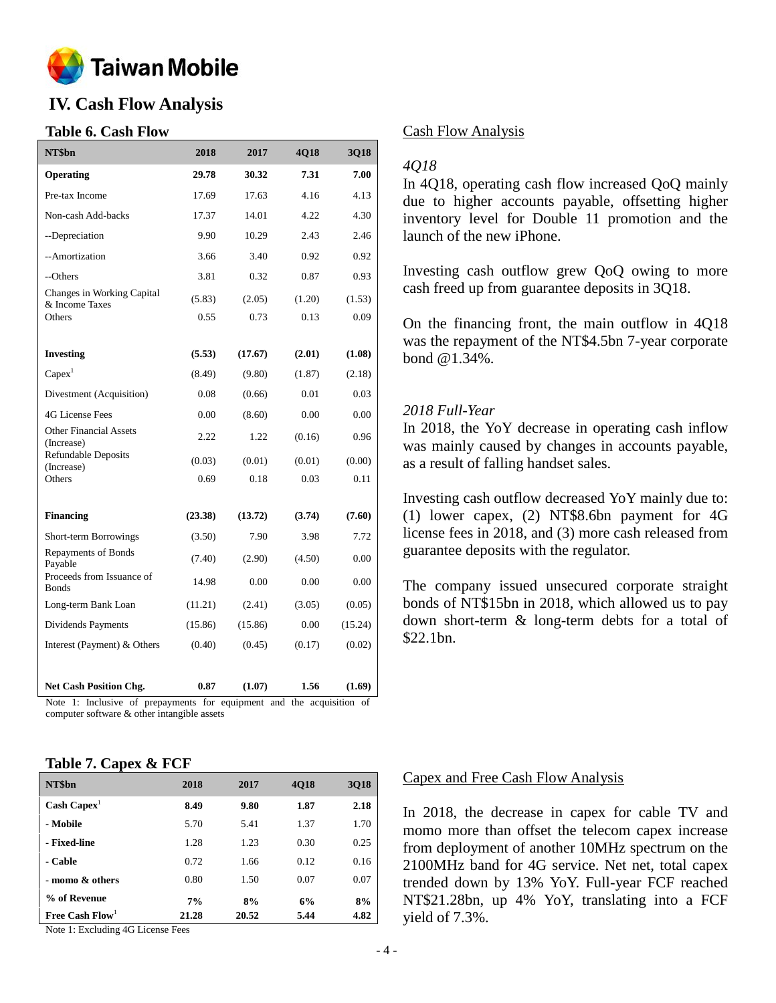

# **IV. Cash Flow Analysis**

#### **Table 6. Cash Flow**

| NT\$bn                                       | 2018    | 2017    | 4Q18   | 3Q18    |
|----------------------------------------------|---------|---------|--------|---------|
| Operating                                    | 29.78   | 30.32   | 7.31   | 7.00    |
| Pre-tax Income                               | 17.69   | 17.63   | 4.16   | 4.13    |
| Non-cash Add-backs                           | 17.37   | 14.01   | 4.22   | 4.30    |
| --Depreciation                               | 9.90    | 10.29   | 2.43   | 2.46    |
| --Amortization                               | 3.66    | 3.40    | 0.92   | 0.92    |
| --Others                                     | 3.81    | 0.32    | 0.87   | 0.93    |
| Changes in Working Capital<br>& Income Taxes | (5.83)  | (2.05)  | (1.20) | (1.53)  |
| Others                                       | 0.55    | 0.73    | 0.13   | 0.09    |
|                                              |         |         |        |         |
| <b>Investing</b>                             | (5.53)  | (17.67) | (2.01) | (1.08)  |
| Capex <sup>1</sup>                           | (8.49)  | (9.80)  | (1.87) | (2.18)  |
| Divestment (Acquisition)                     | 0.08    | (0.66)  | 0.01   | 0.03    |
| <b>4G License Fees</b>                       | 0.00    | (8.60)  | 0.00   | 0.00    |
| <b>Other Financial Assets</b><br>(Increase)  | 2.22    | 1.22    | (0.16) | 0.96    |
| <b>Refundable Deposits</b>                   | (0.03)  | (0.01)  | (0.01) | (0.00)  |
| (Increase)<br>Others                         | 0.69    | 0.18    | 0.03   | 0.11    |
|                                              |         |         |        |         |
| <b>Financing</b>                             | (23.38) | (13.72) | (3.74) | (7.60)  |
| Short-term Borrowings                        | (3.50)  | 7.90    | 3.98   | 7.72    |
| Repayments of Bonds<br>Payable               | (7.40)  | (2.90)  | (4.50) | 0.00    |
| Proceeds from Issuance of<br><b>Bonds</b>    | 14.98   | 0.00    | 0.00   | 0.00    |
| Long-term Bank Loan                          | (11.21) | (2.41)  | (3.05) | (0.05)  |
| Dividends Payments                           | (15.86) | (15.86) | 0.00   | (15.24) |
| Interest (Payment) & Others                  | (0.40)  | (0.45)  | (0.17) | (0.02)  |
|                                              |         |         |        |         |
| <b>Net Cash Position Chg.</b>                | 0.87    | (1.07)  | 1.56   | (1.69)  |

Note 1: Inclusive of prepayments for equipment and the acquisition of computer software & other intangible assets

#### **Table 7. Capex & FCF**

| NT\$bn                        | 2018  | 2017  | 4Q18 | <b>3Q18</b> |
|-------------------------------|-------|-------|------|-------------|
| $\text{Cash} \text{ Capex}^1$ | 8.49  | 9.80  | 1.87 | 2.18        |
| - Mobile                      | 5.70  | 5.41  | 1.37 | 1.70        |
| - Fixed-line                  | 1.28  | 1.23  | 0.30 | 0.25        |
| - Cable                       | 0.72  | 1.66  | 0.12 | 0.16        |
| - momo & others               | 0.80  | 1.50  | 0.07 | 0.07        |
| % of Revenue                  | 7%    | 8%    | 6%   | 8%          |
| Free Cash $Flow1$             | 21.28 | 20.52 | 5.44 | 4.82        |

Note 1: Excluding 4G License Fees

#### Cash Flow Analysis

#### *4Q18*

In 4Q18, operating cash flow increased QoQ mainly due to higher accounts payable, offsetting higher inventory level for Double 11 promotion and the launch of the new iPhone.

Investing cash outflow grew QoQ owing to more cash freed up from guarantee deposits in 3Q18.

On the financing front, the main outflow in 4Q18 was the repayment of the NT\$4.5bn 7-year corporate bond @1.34%.

#### *2018 Full-Year*

In 2018, the YoY decrease in operating cash inflow was mainly caused by changes in accounts payable, as a result of falling handset sales.

Investing cash outflow decreased YoY mainly due to: (1) lower capex, (2) NT\$8.6bn payment for 4G license fees in 2018, and (3) more cash released from guarantee deposits with the regulator.

The company issued unsecured corporate straight bonds of NT\$15bn in 2018, which allowed us to pay down short-term & long-term debts for a total of \$22.1bn.

#### Capex and Free Cash Flow Analysis

In 2018, the decrease in capex for cable TV and momo more than offset the telecom capex increase from deployment of another 10MHz spectrum on the 2100MHz band for 4G service. Net net, total capex trended down by 13% YoY. Full-year FCF reached NT\$21.28bn, up 4% YoY, translating into a FCF yield of 7.3%.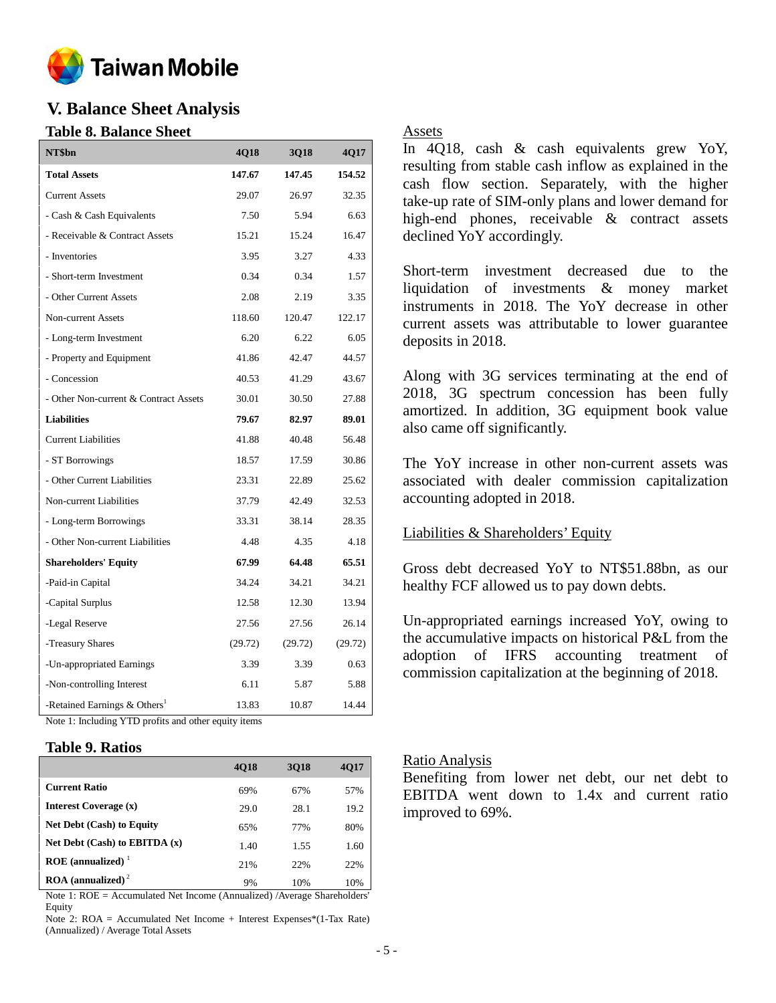

# **V. Balance Sheet Analysis**

### **Table 8. Balance Sheet**

| NT\$bn                                   | 4Q18    | <b>3Q18</b> | 4Q17    |
|------------------------------------------|---------|-------------|---------|
| <b>Total Assets</b>                      | 147.67  | 147.45      | 154.52  |
| <b>Current Assets</b>                    | 29.07   | 26.97       | 32.35   |
| - Cash & Cash Equivalents                | 7.50    | 5.94        | 6.63    |
| - Receivable & Contract Assets           | 15.21   | 15.24       | 16.47   |
| - Inventories                            | 3.95    | 3.27        | 4.33    |
| - Short-term Investment                  | 0.34    | 0.34        | 1.57    |
| - Other Current Assets                   | 2.08    | 2.19        | 3.35    |
| Non-current Assets                       | 118.60  | 120.47      | 122.17  |
| - Long-term Investment                   | 6.20    | 6.22        | 6.05    |
| - Property and Equipment                 | 41.86   | 42.47       | 44.57   |
| - Concession                             | 40.53   | 41.29       | 43.67   |
| - Other Non-current & Contract Assets    | 30.01   | 30.50       | 27.88   |
| <b>Liabilities</b>                       | 79.67   | 82.97       | 89.01   |
| <b>Current Liabilities</b>               | 41.88   | 40.48       | 56.48   |
| - ST Borrowings                          | 18.57   | 17.59       | 30.86   |
| - Other Current Liabilities              | 23.31   | 22.89       | 25.62   |
| Non-current Liabilities                  | 37.79   | 42.49       | 32.53   |
| - Long-term Borrowings                   | 33.31   | 38.14       | 28.35   |
| - Other Non-current Liabilities          | 4.48    | 4.35        | 4.18    |
| <b>Shareholders' Equity</b>              | 67.99   | 64.48       | 65.51   |
| -Paid-in Capital                         | 34.24   | 34.21       | 34.21   |
| -Capital Surplus                         | 12.58   | 12.30       | 13.94   |
| -Legal Reserve                           | 27.56   | 27.56       | 26.14   |
| -Treasury Shares                         | (29.72) | (29.72)     | (29.72) |
| -Un-appropriated Earnings                | 3.39    | 3.39        | 0.63    |
| -Non-controlling Interest                | 6.11    | 5.87        | 5.88    |
| -Retained Earnings & Others <sup>1</sup> | 13.83   | 10.87       | 14.44   |

Note 1: Including YTD profits and other equity items

#### **Table 9. Ratios**

|                                          | <b>4018</b> | 3018 | <b>4017</b> |
|------------------------------------------|-------------|------|-------------|
| <b>Current Ratio</b>                     | 69%         | 67%  | 57%         |
| Interest Coverage (x)                    | 29.0        | 28.1 | 19.2        |
| <b>Net Debt (Cash) to Equity</b>         | 65%         | 77%  | 80%         |
| Net Debt $(Cash)$ to EBITDA $(x)$        | 1.40        | 1.55 | 1.60        |
| ROE (annualized) $1$                     | 21%         | 22%  | 22%         |
| $\textbf{ROA}$ (annualized) <sup>2</sup> | 9%          | 10%  | 10%         |

Note 1: ROE = Accumulated Net Income (Annualized) /Average Shareholders' Equity

Note 2: ROA = Accumulated Net Income + Interest Expenses\*(1-Tax Rate) (Annualized) / Average Total Assets

#### Assets

In 4Q18, cash & cash equivalents grew YoY, resulting from stable cash inflow as explained in the cash flow section. Separately, with the higher take-up rate of SIM-only plans and lower demand for high-end phones, receivable & contract assets declined YoY accordingly.

Short-term investment decreased due to the liquidation of investments & money market instruments in 2018. The YoY decrease in other current assets was attributable to lower guarantee deposits in 2018.

Along with 3G services terminating at the end of 2018, 3G spectrum concession has been fully amortized. In addition, 3G equipment book value also came off significantly.

The YoY increase in other non-current assets was associated with dealer commission capitalization accounting adopted in 2018.

#### Liabilities & Shareholders' Equity

Gross debt decreased YoY to NT\$51.88bn, as our healthy FCF allowed us to pay down debts.

Un-appropriated earnings increased YoY, owing to the accumulative impacts on historical P&L from the adoption of IFRS accounting treatment of commission capitalization at the beginning of 2018.

#### Ratio Analysis

Benefiting from lower net debt, our net debt to EBITDA went down to 1.4x and current ratio improved to 69%.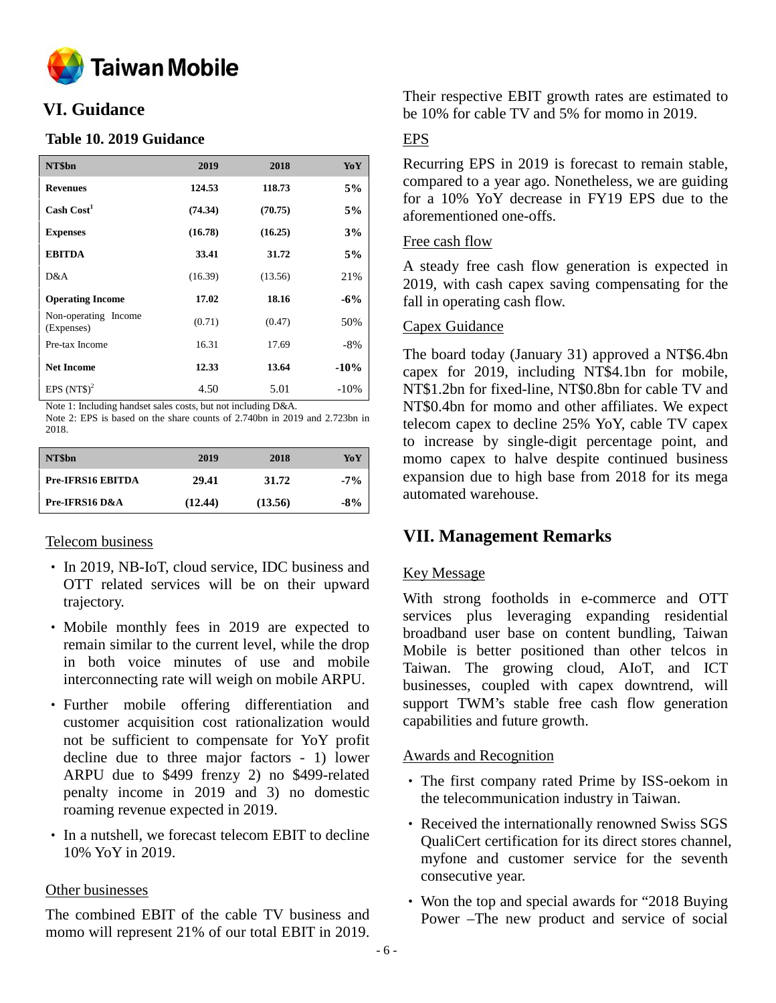

# **VI. Guidance**

### **Table 10. 2019 Guidance**

| NT\$bn                             | 2019    | 2018    | YoY    |
|------------------------------------|---------|---------|--------|
| <b>Revenues</b>                    | 124.53  | 118.73  | 5%     |
| Cash Cost <sup>1</sup>             | (74.34) | (70.75) | 5%     |
| <b>Expenses</b>                    | (16.78) | (16.25) | 3%     |
| <b>EBITDA</b>                      | 33.41   | 31.72   | 5%     |
| D&A                                | (16.39) | (13.56) | 21%    |
| <b>Operating Income</b>            | 17.02   | 18.16   | $-6\%$ |
| Non-operating Income<br>(Expenses) | (0.71)  | (0.47)  | 50%    |
| Pre-tax Income                     | 16.31   | 17.69   | $-8%$  |
| <b>Net Income</b>                  | 12.33   | 13.64   | $-10%$ |
| EPS $(NT$)^2$                      | 4.50    | 5.01    | $-10%$ |

Note 1: Including handset sales costs, but not including D&A.

Note 2: EPS is based on the share counts of 2.740bn in 2019 and 2.723bn in 2018.

| NT\$bn                   | 2019    | 2018    | YoY    |
|--------------------------|---------|---------|--------|
| <b>Pre-IFRS16 EBITDA</b> | 29.41   | 31.72   | $-7\%$ |
| Pre-IFRS16 D&A           | (12.44) | (13.56) | $-8\%$ |

#### Telecom business

- In 2019, NB-IoT, cloud service, IDC business and OTT related services will be on their upward trajectory.
- Mobile monthly fees in 2019 are expected to remain similar to the current level, while the drop in both voice minutes of use and mobile interconnecting rate will weigh on mobile ARPU.
- Further mobile offering differentiation and customer acquisition cost rationalization would not be sufficient to compensate for YoY profit decline due to three major factors - 1) lower ARPU due to \$499 frenzy 2) no \$499-related penalty income in 2019 and 3) no domestic roaming revenue expected in 2019.
- In a nutshell, we forecast telecom EBIT to decline 10% YoY in 2019.

# Other businesses

The combined EBIT of the cable TV business and momo will represent 21% of our total EBIT in 2019.

Their respective EBIT growth rates are estimated to be 10% for cable TV and 5% for momo in 2019.

# EPS

Recurring EPS in 2019 is forecast to remain stable, compared to a year ago. Nonetheless, we are guiding for a 10% YoY decrease in FY19 EPS due to the aforementioned one-offs.

# Free cash flow

A steady free cash flow generation is expected in 2019, with cash capex saving compensating for the fall in operating cash flow.

# Capex Guidance

The board today (January 31) approved a NT\$6.4bn capex for 2019, including NT\$4.1bn for mobile, NT\$1.2bn for fixed-line, NT\$0.8bn for cable TV and NT\$0.4bn for momo and other affiliates. We expect telecom capex to decline 25% YoY, cable TV capex to increase by single-digit percentage point, and momo capex to halve despite continued business expansion due to high base from 2018 for its mega automated warehouse.

# **VII. Management Remarks**

# Key Message

With strong footholds in e-commerce and OTT services plus leveraging expanding residential broadband user base on content bundling, Taiwan Mobile is better positioned than other telcos in Taiwan. The growing cloud, AIoT, and ICT businesses, coupled with capex downtrend, will support TWM's stable free cash flow generation capabilities and future growth.

# Awards and Recognition

- The first company rated Prime by ISS-oekom in the telecommunication industry in Taiwan.
- Received the internationally renowned Swiss SGS QualiCert certification for its direct stores channel, myfone and customer service for the seventh consecutive year.
- Won the top and special awards for "2018 Buying Power –The new product and service of social